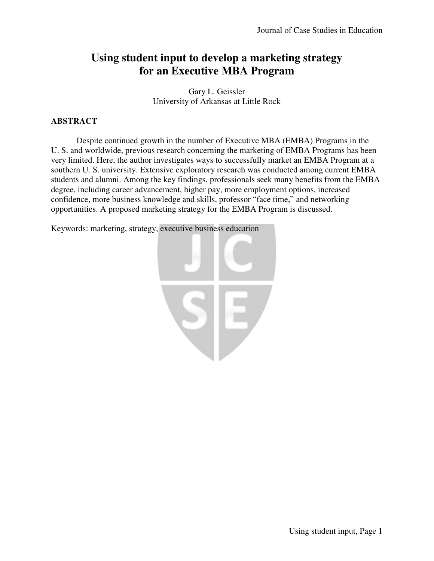# **Using student input to develop a marketing strategy for an Executive MBA Program**

Gary L. Geissler University of Arkansas at Little Rock

# **ABSTRACT**

Despite continued growth in the number of Executive MBA (EMBA) Programs in the U. S. and worldwide, previous research concerning the marketing of EMBA Programs has been very limited. Here, the author investigates ways to successfully market an EMBA Program at a southern U. S. university. Extensive exploratory research was conducted among current EMBA students and alumni. Among the key findings, professionals seek many benefits from the EMBA degree, including career advancement, higher pay, more employment options, increased confidence, more business knowledge and skills, professor "face time," and networking opportunities. A proposed marketing strategy for the EMBA Program is discussed.

Keywords: marketing, strategy, executive business education

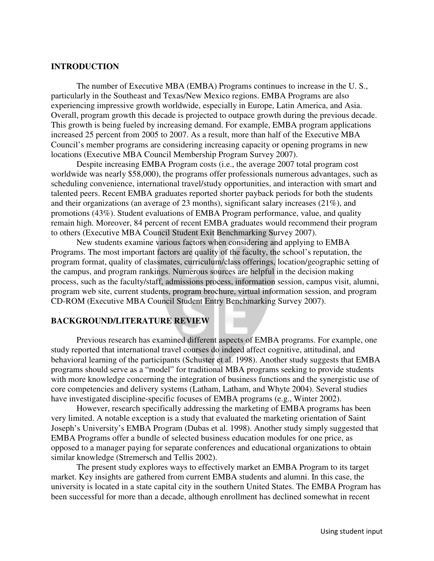#### **INTRODUCTION**

 The number of Executive MBA (EMBA) Programs continues to increase in the U. S., particularly in the Southeast and Texas/New Mexico regions. EMBA Programs are also experiencing impressive growth worldwide, especially in Europe, Latin America, and Asia. Overall, program growth this decade is projected to outpace growth during the previous decade. This growth is being fueled by increasing demand. For example, EMBA program applications increased 25 percent from 2005 to 2007. As a result, more than half of the Executive MBA Council's member programs are considering increasing capacity or opening programs in new locations (Executive MBA Council Membership Program Survey 2007).

Despite increasing EMBA Program costs (i.e., the average 2007 total program cost worldwide was nearly \$58,000), the programs offer professionals numerous advantages, such as scheduling convenience, international travel/study opportunities, and interaction with smart and talented peers. Recent EMBA graduates reported shorter payback periods for both the students and their organizations (an average of 23 months), significant salary increases (21%), and promotions (43%). Student evaluations of EMBA Program performance, value, and quality remain high. Moreover, 84 percent of recent EMBA graduates would recommend their program to others (Executive MBA Council Student Exit Benchmarking Survey 2007).

 New students examine various factors when considering and applying to EMBA Programs. The most important factors are quality of the faculty, the school's reputation, the program format, quality of classmates, curriculum/class offerings, location/geographic setting of the campus, and program rankings. Numerous sources are helpful in the decision making process, such as the faculty/staff, admissions process, information session, campus visit, alumni, program web site, current students, program brochure, virtual information session, and program CD-ROM (Executive MBA Council Student Entry Benchmarking Survey 2007).

## **BACKGROUND/LITERATURE REVIEW**

 Previous research has examined different aspects of EMBA programs. For example, one study reported that international travel courses do indeed affect cognitive, attitudinal, and behavioral learning of the participants (Schuster et al. 1998). Another study suggests that EMBA programs should serve as a "model" for traditional MBA programs seeking to provide students with more knowledge concerning the integration of business functions and the synergistic use of core competencies and delivery systems (Latham, Latham, and Whyte 2004). Several studies have investigated discipline-specific focuses of EMBA programs (e.g., Winter 2002).

However, research specifically addressing the marketing of EMBA programs has been very limited. A notable exception is a study that evaluated the marketing orientation of Saint Joseph's University's EMBA Program (Dubas et al. 1998). Another study simply suggested that EMBA Programs offer a bundle of selected business education modules for one price, as opposed to a manager paying for separate conferences and educational organizations to obtain similar knowledge (Stremersch and Tellis 2002).

The present study explores ways to effectively market an EMBA Program to its target market. Key insights are gathered from current EMBA students and alumni. In this case, the university is located in a state capital city in the southern United States. The EMBA Program has been successful for more than a decade, although enrollment has declined somewhat in recent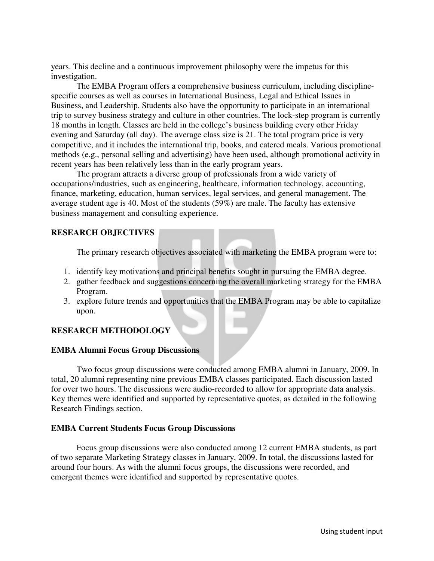years. This decline and a continuous improvement philosophy were the impetus for this investigation.

The EMBA Program offers a comprehensive business curriculum, including disciplinespecific courses as well as courses in International Business, Legal and Ethical Issues in Business, and Leadership. Students also have the opportunity to participate in an international trip to survey business strategy and culture in other countries. The lock-step program is currently 18 months in length. Classes are held in the college's business building every other Friday evening and Saturday (all day). The average class size is 21. The total program price is very competitive, and it includes the international trip, books, and catered meals. Various promotional methods (e.g., personal selling and advertising) have been used, although promotional activity in recent years has been relatively less than in the early program years.

The program attracts a diverse group of professionals from a wide variety of occupations/industries, such as engineering, healthcare, information technology, accounting, finance, marketing, education, human services, legal services, and general management. The average student age is 40. Most of the students (59%) are male. The faculty has extensive business management and consulting experience.

## **RESEARCH OBJECTIVES**

The primary research objectives associated with marketing the EMBA program were to:

- 1. identify key motivations and principal benefits sought in pursuing the EMBA degree.
- 2. gather feedback and suggestions concerning the overall marketing strategy for the EMBA Program.
- 3. explore future trends and opportunities that the EMBA Program may be able to capitalize upon.

## **RESEARCH METHODOLOGY**

#### **EMBA Alumni Focus Group Discussions**

 Two focus group discussions were conducted among EMBA alumni in January, 2009. In total, 20 alumni representing nine previous EMBA classes participated. Each discussion lasted for over two hours. The discussions were audio-recorded to allow for appropriate data analysis. Key themes were identified and supported by representative quotes, as detailed in the following Research Findings section.

#### **EMBA Current Students Focus Group Discussions**

 Focus group discussions were also conducted among 12 current EMBA students, as part of two separate Marketing Strategy classes in January, 2009. In total, the discussions lasted for around four hours. As with the alumni focus groups, the discussions were recorded, and emergent themes were identified and supported by representative quotes.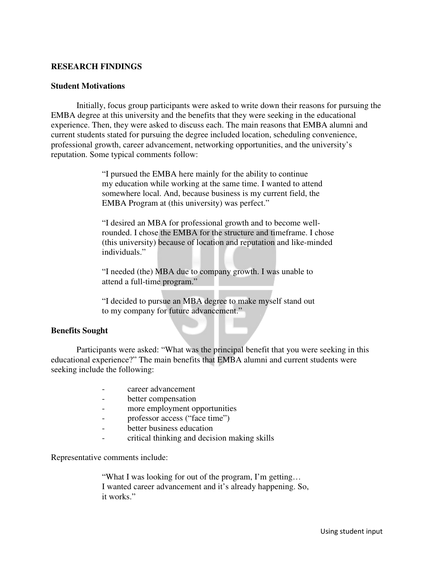## **RESEARCH FINDINGS**

#### **Student Motivations**

Initially, focus group participants were asked to write down their reasons for pursuing the EMBA degree at this university and the benefits that they were seeking in the educational experience. Then, they were asked to discuss each. The main reasons that EMBA alumni and current students stated for pursuing the degree included location, scheduling convenience, professional growth, career advancement, networking opportunities, and the university's reputation. Some typical comments follow:

> "I pursued the EMBA here mainly for the ability to continue my education while working at the same time. I wanted to attend somewhere local. And, because business is my current field, the EMBA Program at (this university) was perfect."

 "I desired an MBA for professional growth and to become wellrounded. I chose the EMBA for the structure and timeframe. I chose (this university) because of location and reputation and like-minded individuals."

 "I needed (the) MBA due to company growth. I was unable to attend a full-time program."

 "I decided to pursue an MBA degree to make myself stand out to my company for future advancement."

#### **Benefits Sought**

Participants were asked: "What was the principal benefit that you were seeking in this educational experience?" The main benefits that EMBA alumni and current students were seeking include the following:

- career advancement
- better compensation
- more employment opportunities
- professor access ("face time")
- better business education
- critical thinking and decision making skills

Representative comments include:

 "What I was looking for out of the program, I'm getting… I wanted career advancement and it's already happening. So, it works."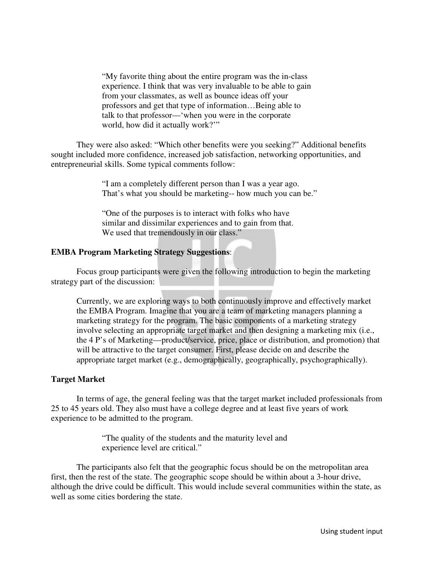"My favorite thing about the entire program was the in-class experience. I think that was very invaluable to be able to gain from your classmates, as well as bounce ideas off your professors and get that type of information…Being able to talk to that professor—'when you were in the corporate world, how did it actually work?'"

They were also asked: "Which other benefits were you seeking?" Additional benefits sought included more confidence, increased job satisfaction, networking opportunities, and entrepreneurial skills. Some typical comments follow:

> "I am a completely different person than I was a year ago. That's what you should be marketing-- how much you can be."

"One of the purposes is to interact with folks who have similar and dissimilar experiences and to gain from that. We used that tremendously in our class."

#### **EMBA Program Marketing Strategy Suggestions**:

Focus group participants were given the following introduction to begin the marketing strategy part of the discussion:

Currently, we are exploring ways to both continuously improve and effectively market the EMBA Program. Imagine that you are a team of marketing managers planning a marketing strategy for the program. The basic components of a marketing strategy involve selecting an appropriate target market and then designing a marketing mix (i.e., the 4 P's of Marketing—product/service, price, place or distribution, and promotion) that will be attractive to the target consumer. First, please decide on and describe the appropriate target market (e.g., demographically, geographically, psychographically).

## **Target Market**

In terms of age, the general feeling was that the target market included professionals from 25 to 45 years old. They also must have a college degree and at least five years of work experience to be admitted to the program.

> "The quality of the students and the maturity level and experience level are critical."

The participants also felt that the geographic focus should be on the metropolitan area first, then the rest of the state. The geographic scope should be within about a 3-hour drive, although the drive could be difficult. This would include several communities within the state, as well as some cities bordering the state.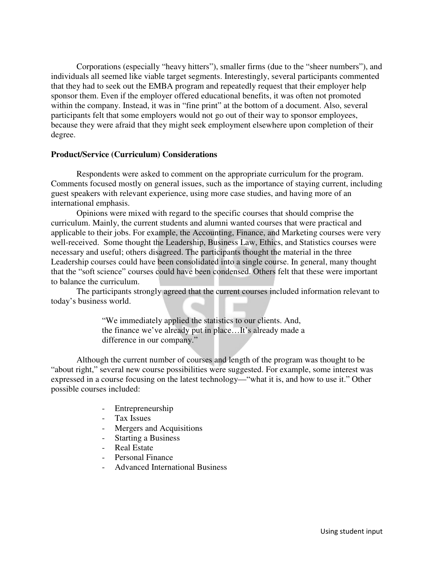Corporations (especially "heavy hitters"), smaller firms (due to the "sheer numbers"), and individuals all seemed like viable target segments. Interestingly, several participants commented that they had to seek out the EMBA program and repeatedly request that their employer help sponsor them. Even if the employer offered educational benefits, it was often not promoted within the company. Instead, it was in "fine print" at the bottom of a document. Also, several participants felt that some employers would not go out of their way to sponsor employees, because they were afraid that they might seek employment elsewhere upon completion of their degree.

#### **Product/Service (Curriculum) Considerations**

Respondents were asked to comment on the appropriate curriculum for the program. Comments focused mostly on general issues, such as the importance of staying current, including guest speakers with relevant experience, using more case studies, and having more of an international emphasis.

Opinions were mixed with regard to the specific courses that should comprise the curriculum. Mainly, the current students and alumni wanted courses that were practical and applicable to their jobs. For example, the Accounting, Finance, and Marketing courses were very well-received. Some thought the Leadership, Business Law, Ethics, and Statistics courses were necessary and useful; others disagreed. The participants thought the material in the three Leadership courses could have been consolidated into a single course. In general, many thought that the "soft science" courses could have been condensed. Others felt that these were important to balance the curriculum.

The participants strongly agreed that the current courses included information relevant to today's business world.

> "We immediately applied the statistics to our clients. And, the finance we've already put in place…It's already made a difference in our company."

Although the current number of courses and length of the program was thought to be "about right," several new course possibilities were suggested. For example, some interest was expressed in a course focusing on the latest technology—"what it is, and how to use it." Other possible courses included:

- Entrepreneurship
- Tax Issues
- Mergers and Acquisitions
- Starting a Business
- Real Estate
- Personal Finance
- Advanced International Business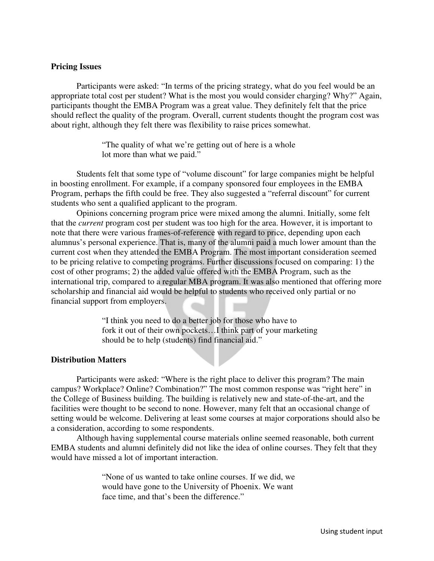#### **Pricing Issues**

Participants were asked: "In terms of the pricing strategy, what do you feel would be an appropriate total cost per student? What is the most you would consider charging? Why?" Again, participants thought the EMBA Program was a great value. They definitely felt that the price should reflect the quality of the program. Overall, current students thought the program cost was about right, although they felt there was flexibility to raise prices somewhat.

> "The quality of what we're getting out of here is a whole lot more than what we paid."

Students felt that some type of "volume discount" for large companies might be helpful in boosting enrollment. For example, if a company sponsored four employees in the EMBA Program, perhaps the fifth could be free. They also suggested a "referral discount" for current students who sent a qualified applicant to the program.

Opinions concerning program price were mixed among the alumni. Initially, some felt that the *current* program cost per student was too high for the area. However, it is important to note that there were various frames-of-reference with regard to price, depending upon each alumnus's personal experience. That is, many of the alumni paid a much lower amount than the current cost when they attended the EMBA Program. The most important consideration seemed to be pricing relative to competing programs. Further discussions focused on comparing: 1) the cost of other programs; 2) the added value offered with the EMBA Program, such as the international trip, compared to a regular MBA program. It was also mentioned that offering more scholarship and financial aid would be helpful to students who received only partial or no financial support from employers.

> "I think you need to do a better job for those who have to fork it out of their own pockets…I think part of your marketing should be to help (students) find financial aid."

## **Distribution Matters**

Participants were asked: "Where is the right place to deliver this program? The main campus? Workplace? Online? Combination?" The most common response was "right here" in the College of Business building. The building is relatively new and state-of-the-art, and the facilities were thought to be second to none. However, many felt that an occasional change of setting would be welcome. Delivering at least some courses at major corporations should also be a consideration, according to some respondents.

Although having supplemental course materials online seemed reasonable, both current EMBA students and alumni definitely did not like the idea of online courses. They felt that they would have missed a lot of important interaction.

> "None of us wanted to take online courses. If we did, we would have gone to the University of Phoenix. We want face time, and that's been the difference."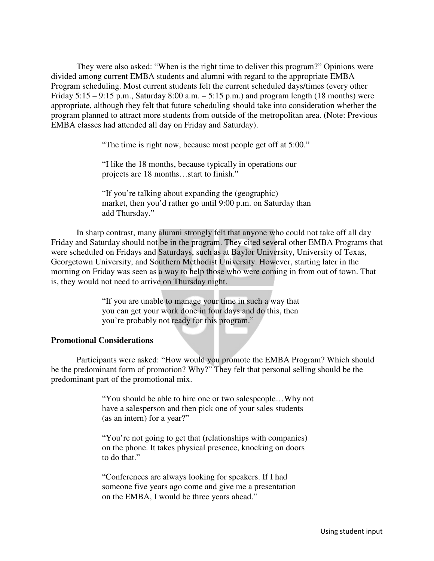They were also asked: "When is the right time to deliver this program?" Opinions were divided among current EMBA students and alumni with regard to the appropriate EMBA Program scheduling. Most current students felt the current scheduled days/times (every other Friday  $5:15 - 9:15$  p.m., Saturday  $8:00$  a.m.  $-5:15$  p.m.) and program length (18 months) were appropriate, although they felt that future scheduling should take into consideration whether the program planned to attract more students from outside of the metropolitan area. (Note: Previous EMBA classes had attended all day on Friday and Saturday).

"The time is right now, because most people get off at 5:00."

 "I like the 18 months, because typically in operations our projects are 18 months…start to finish."

"If you're talking about expanding the (geographic) market, then you'd rather go until 9:00 p.m. on Saturday than add Thursday."

In sharp contrast, many alumni strongly felt that anyone who could not take off all day Friday and Saturday should not be in the program. They cited several other EMBA Programs that were scheduled on Fridays and Saturdays, such as at Baylor University, University of Texas, Georgetown University, and Southern Methodist University. However, starting later in the morning on Friday was seen as a way to help those who were coming in from out of town. That is, they would not need to arrive on Thursday night.

> "If you are unable to manage your time in such a way that you can get your work done in four days and do this, then you're probably not ready for this program."

## **Promotional Considerations**

Participants were asked: "How would you promote the EMBA Program? Which should be the predominant form of promotion? Why?" They felt that personal selling should be the predominant part of the promotional mix.

> "You should be able to hire one or two salespeople…Why not have a salesperson and then pick one of your sales students (as an intern) for a year?"

 "You're not going to get that (relationships with companies) on the phone. It takes physical presence, knocking on doors to do that."

"Conferences are always looking for speakers. If I had someone five years ago come and give me a presentation on the EMBA, I would be three years ahead."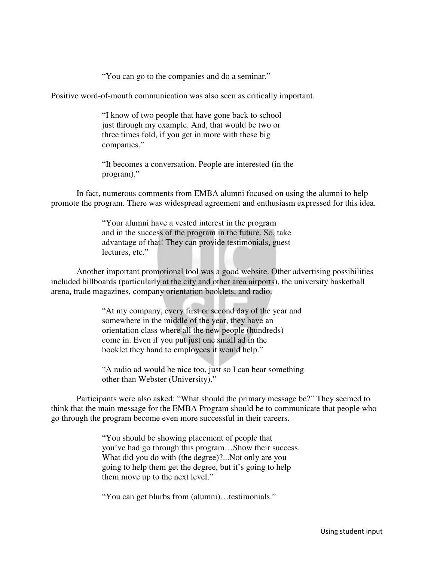"You can go to the companies and do a seminar."

Positive word-of-mouth communication was also seen as critically important.

 "I know of two people that have gone back to school just through my example. And, that would be two or three times fold, if you get in more with these big companies."

"It becomes a conversation. People are interested (in the program)."

 In fact, numerous comments from EMBA alumni focused on using the alumni to help promote the program. There was widespread agreement and enthusiasm expressed for this idea.

> "Your alumni have a vested interest in the program and in the success of the program in the future. So, take advantage of that! They can provide testimonials, guest lectures, etc."

Another important promotional tool was a good website. Other advertising possibilities included billboards (particularly at the city and other area airports), the university basketball arena, trade magazines, company orientation booklets, and radio.

> "At my company, every first or second day of the year and somewhere in the middle of the year, they have an orientation class where all the new people (hundreds) come in. Even if you put just one small ad in the booklet they hand to employees it would help."

> "A radio ad would be nice too, just so I can hear something other than Webster (University)."

Participants were also asked: "What should the primary message be?" They seemed to think that the main message for the EMBA Program should be to communicate that people who go through the program become even more successful in their careers.

> "You should be showing placement of people that you've had go through this program…Show their success. What did you do with (the degree)?...Not only are you going to help them get the degree, but it's going to help them move up to the next level."

"You can get blurbs from (alumni)…testimonials."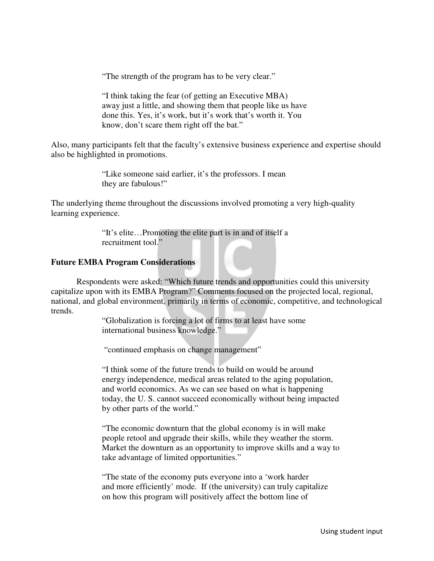"The strength of the program has to be very clear."

 "I think taking the fear (of getting an Executive MBA) away just a little, and showing them that people like us have done this. Yes, it's work, but it's work that's worth it. You know, don't scare them right off the bat."

Also, many participants felt that the faculty's extensive business experience and expertise should also be highlighted in promotions.

> "Like someone said earlier, it's the professors. I mean they are fabulous!"

The underlying theme throughout the discussions involved promoting a very high-quality learning experience.

> "It's elite…Promoting the elite part is in and of itself a recruitment tool."

#### **Future EMBA Program Considerations**

 Respondents were asked: "Which future trends and opportunities could this university capitalize upon with its EMBA Program?" Comments focused on the projected local, regional, national, and global environment, primarily in terms of economic, competitive, and technological trends.

> "Globalization is forcing a lot of firms to at least have some international business knowledge."

"continued emphasis on change management"

"I think some of the future trends to build on would be around energy independence, medical areas related to the aging population, and world economics. As we can see based on what is happening today, the U. S. cannot succeed economically without being impacted by other parts of the world."

 "The economic downturn that the global economy is in will make people retool and upgrade their skills, while they weather the storm. Market the downturn as an opportunity to improve skills and a way to take advantage of limited opportunities."

"The state of the economy puts everyone into a 'work harder and more efficiently' mode. If (the university) can truly capitalize on how this program will positively affect the bottom line of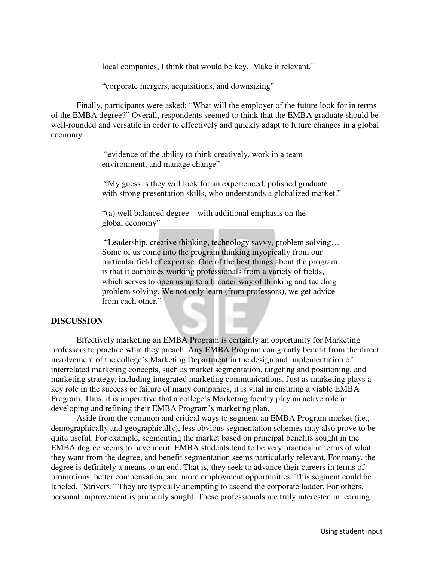local companies, I think that would be key. Make it relevant."

"corporate mergers, acquisitions, and downsizing"

Finally, participants were asked: "What will the employer of the future look for in terms of the EMBA degree?" Overall, respondents seemed to think that the EMBA graduate should be well-rounded and versatile in order to effectively and quickly adapt to future changes in a global economy.

> "evidence of the ability to think creatively, work in a team environment, and manage change"

 "My guess is they will look for an experienced, polished graduate with strong presentation skills, who understands a globalized market."

"(a) well balanced degree – with additional emphasis on the global economy"

 "Leadership, creative thinking, technology savvy, problem solving… Some of us come into the program thinking myopically from our particular field of expertise. One of the best things about the program is that it combines working professionals from a variety of fields, which serves to open us up to a broader way of thinking and tackling problem solving. We not only learn (from professors), we get advice from each other."

#### **DISCUSSION**

Effectively marketing an EMBA Program is certainly an opportunity for Marketing professors to practice what they preach. Any EMBA Program can greatly benefit from the direct involvement of the college's Marketing Department in the design and implementation of interrelated marketing concepts, such as market segmentation, targeting and positioning, and marketing strategy, including integrated marketing communications. Just as marketing plays a key role in the success or failure of many companies, it is vital in ensuring a viable EMBA Program. Thus, it is imperative that a college's Marketing faculty play an active role in developing and refining their EMBA Program's marketing plan.

Aside from the common and critical ways to segment an EMBA Program market (i.e., demographically and geographically), less obvious segmentation schemes may also prove to be quite useful. For example, segmenting the market based on principal benefits sought in the EMBA degree seems to have merit. EMBA students tend to be very practical in terms of what they want from the degree, and benefit segmentation seems particularly relevant. For many, the degree is definitely a means to an end. That is, they seek to advance their careers in terms of promotions, better compensation, and more employment opportunities. This segment could be labeled, "Strivers." They are typically attempting to ascend the corporate ladder. For others, personal improvement is primarily sought. These professionals are truly interested in learning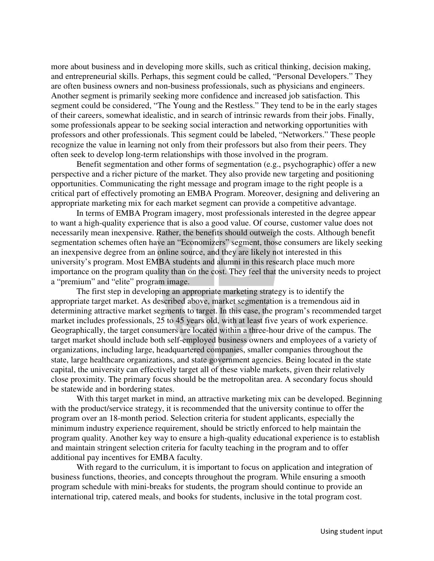more about business and in developing more skills, such as critical thinking, decision making, and entrepreneurial skills. Perhaps, this segment could be called, "Personal Developers." They are often business owners and non-business professionals, such as physicians and engineers. Another segment is primarily seeking more confidence and increased job satisfaction. This segment could be considered, "The Young and the Restless." They tend to be in the early stages of their careers, somewhat idealistic, and in search of intrinsic rewards from their jobs. Finally, some professionals appear to be seeking social interaction and networking opportunities with professors and other professionals. This segment could be labeled, "Networkers." These people recognize the value in learning not only from their professors but also from their peers. They often seek to develop long-term relationships with those involved in the program.

Benefit segmentation and other forms of segmentation (e.g., psychographic) offer a new perspective and a richer picture of the market. They also provide new targeting and positioning opportunities. Communicating the right message and program image to the right people is a critical part of effectively promoting an EMBA Program. Moreover, designing and delivering an appropriate marketing mix for each market segment can provide a competitive advantage.

In terms of EMBA Program imagery, most professionals interested in the degree appear to want a high-quality experience that is also a good value. Of course, customer value does not necessarily mean inexpensive. Rather, the benefits should outweigh the costs. Although benefit segmentation schemes often have an "Economizers" segment, those consumers are likely seeking an inexpensive degree from an online source, and they are likely not interested in this university's program. Most EMBA students and alumni in this research place much more importance on the program quality than on the cost. They feel that the university needs to project a "premium" and "elite" program image.

The first step in developing an appropriate marketing strategy is to identify the appropriate target market. As described above, market segmentation is a tremendous aid in determining attractive market segments to target. In this case, the program's recommended target market includes professionals, 25 to 45 years old, with at least five years of work experience. Geographically, the target consumers are located within a three-hour drive of the campus. The target market should include both self-employed business owners and employees of a variety of organizations, including large, headquartered companies, smaller companies throughout the state, large healthcare organizations, and state government agencies. Being located in the state capital, the university can effectively target all of these viable markets, given their relatively close proximity. The primary focus should be the metropolitan area. A secondary focus should be statewide and in bordering states.

With this target market in mind, an attractive marketing mix can be developed. Beginning with the product/service strategy, it is recommended that the university continue to offer the program over an 18-month period. Selection criteria for student applicants, especially the minimum industry experience requirement, should be strictly enforced to help maintain the program quality. Another key way to ensure a high-quality educational experience is to establish and maintain stringent selection criteria for faculty teaching in the program and to offer additional pay incentives for EMBA faculty.

With regard to the curriculum, it is important to focus on application and integration of business functions, theories, and concepts throughout the program. While ensuring a smooth program schedule with mini-breaks for students, the program should continue to provide an international trip, catered meals, and books for students, inclusive in the total program cost.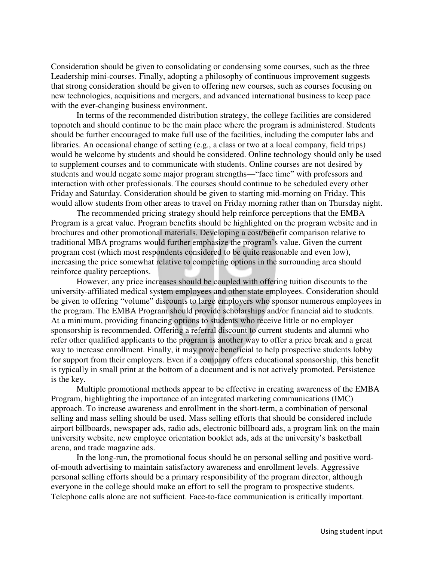Consideration should be given to consolidating or condensing some courses, such as the three Leadership mini-courses. Finally, adopting a philosophy of continuous improvement suggests that strong consideration should be given to offering new courses, such as courses focusing on new technologies, acquisitions and mergers, and advanced international business to keep pace with the ever-changing business environment.

In terms of the recommended distribution strategy, the college facilities are considered topnotch and should continue to be the main place where the program is administered. Students should be further encouraged to make full use of the facilities, including the computer labs and libraries. An occasional change of setting (e.g., a class or two at a local company, field trips) would be welcome by students and should be considered. Online technology should only be used to supplement courses and to communicate with students. Online courses are not desired by students and would negate some major program strengths—"face time" with professors and interaction with other professionals. The courses should continue to be scheduled every other Friday and Saturday. Consideration should be given to starting mid-morning on Friday. This would allow students from other areas to travel on Friday morning rather than on Thursday night.

The recommended pricing strategy should help reinforce perceptions that the EMBA Program is a great value. Program benefits should be highlighted on the program website and in brochures and other promotional materials. Developing a cost/benefit comparison relative to traditional MBA programs would further emphasize the program's value. Given the current program cost (which most respondents considered to be quite reasonable and even low), increasing the price somewhat relative to competing options in the surrounding area should reinforce quality perceptions.

However, any price increases should be coupled with offering tuition discounts to the university-affiliated medical system employees and other state employees. Consideration should be given to offering "volume" discounts to large employers who sponsor numerous employees in the program. The EMBA Program should provide scholarships and/or financial aid to students. At a minimum, providing financing options to students who receive little or no employer sponsorship is recommended. Offering a referral discount to current students and alumni who refer other qualified applicants to the program is another way to offer a price break and a great way to increase enrollment. Finally, it may prove beneficial to help prospective students lobby for support from their employers. Even if a company offers educational sponsorship, this benefit is typically in small print at the bottom of a document and is not actively promoted. Persistence is the key.

Multiple promotional methods appear to be effective in creating awareness of the EMBA Program, highlighting the importance of an integrated marketing communications (IMC) approach. To increase awareness and enrollment in the short-term, a combination of personal selling and mass selling should be used. Mass selling efforts that should be considered include airport billboards, newspaper ads, radio ads, electronic billboard ads, a program link on the main university website, new employee orientation booklet ads, ads at the university's basketball arena, and trade magazine ads.

In the long-run, the promotional focus should be on personal selling and positive wordof-mouth advertising to maintain satisfactory awareness and enrollment levels. Aggressive personal selling efforts should be a primary responsibility of the program director, although everyone in the college should make an effort to sell the program to prospective students. Telephone calls alone are not sufficient. Face-to-face communication is critically important.